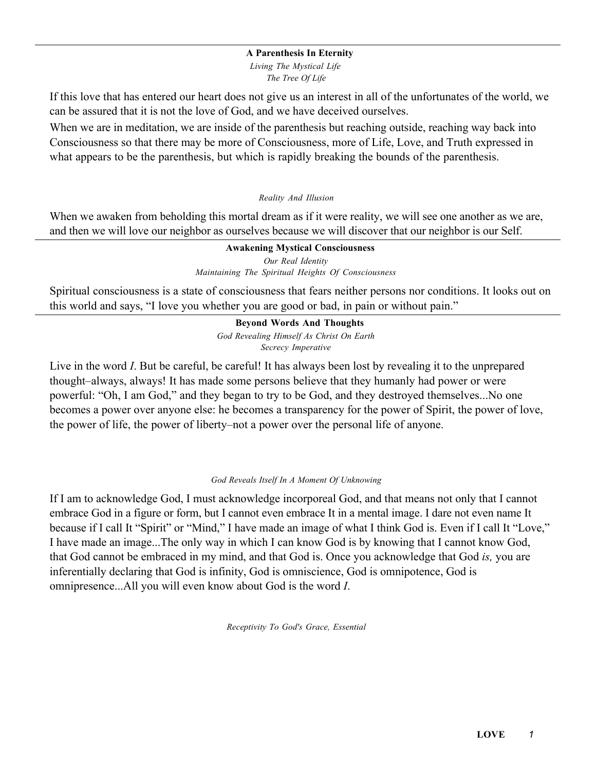#### A Parenthesis In Eternity

*Living The Mystical Life The Tree Of Life*

If this love that has entered our heart does not give us an interest in all of the unfortunates of the world, we can be assured that it is not the love of God, and we have deceived ourselves.

When we are in meditation, we are inside of the parenthesis but reaching outside, reaching way back into Consciousness so that there may be more of Consciousness, more of Life, Love, and Truth expressed in what appears to be the parenthesis, but which is rapidly breaking the bounds of the parenthesis.

#### *Reality And Illusion*

When we awaken from beholding this mortal dream as if it were reality, we will see one another as we are, and then we will love our neighbor as ourselves because we will discover that our neighbor is our Self.

#### Awakening Mystical Consciousness

*Our Real Identity Maintaining The Spiritual Heights Of Consciousness*

Spiritual consciousness is a state of consciousness that fears neither persons nor conditions. It looks out on this world and says, "I love you whether you are good or bad, in pain or without pain."

> Beyond Words And Thoughts *God Revealing Himself As Christ On Earth Secrecy Imperative*

Live in the word *I*. But be careful, be careful! It has always been lost by revealing it to the unprepared thought–always, always! It has made some persons believe that they humanly had power or were powerful: "Oh, I am God," and they began to try to be God, and they destroyed themselves...No one becomes a power over anyone else: he becomes a transparency for the power of Spirit, the power of love, the power of life, the power of liberty–not a power over the personal life of anyone.

#### *God Reveals Itself In A Moment Of Unknowing*

If I am to acknowledge God, I must acknowledge incorporeal God, and that means not only that I cannot embrace God in a figure or form, but I cannot even embrace It in a mental image. I dare not even name It because if I call It "Spirit" or "Mind," I have made an image of what I think God is. Even if I call It "Love," I have made an image...The only way in which I can know God is by knowing that I cannot know God, that God cannot be embraced in my mind, and that God is. Once you acknowledge that God *is,* you are inferentially declaring that God is infinity, God is omniscience, God is omnipotence, God is omnipresence...All you will even know about God is the word *I*.

*Receptivity To God's Grace, Essential*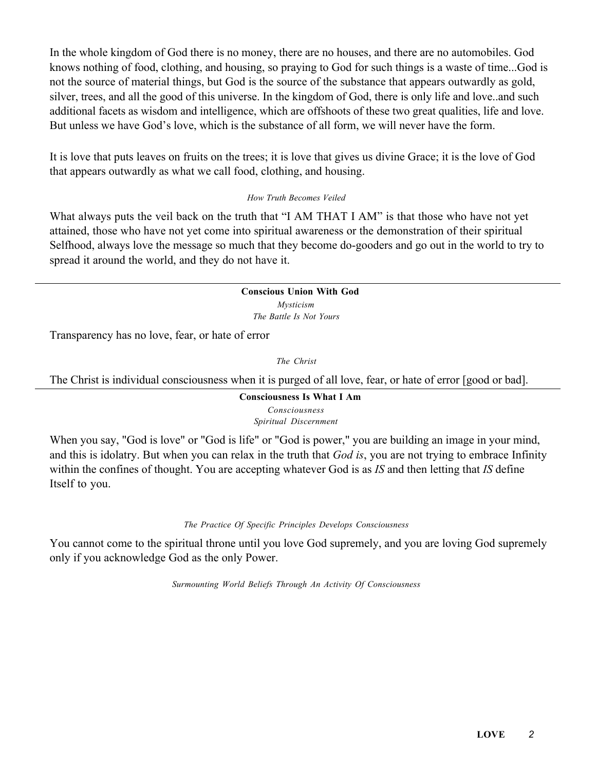In the whole kingdom of God there is no money, there are no houses, and there are no automobiles. God knows nothing of food, clothing, and housing, so praying to God for such things is a waste of time...God is not the source of material things, but God is the source of the substance that appears outwardly as gold, silver, trees, and all the good of this universe. In the kingdom of God, there is only life and love..and such additional facets as wisdom and intelligence, which are offshoots of these two great qualities, life and love. But unless we have God's love, which is the substance of all form, we will never have the form.

It is love that puts leaves on fruits on the trees; it is love that gives us divine Grace; it is the love of God that appears outwardly as what we call food, clothing, and housing.

### *How Truth Becomes Veiled*

What always puts the veil back on the truth that "I AM THAT I AM" is that those who have not yet attained, those who have not yet come into spiritual awareness or the demonstration of their spiritual Selfhood, always love the message so much that they become do-gooders and go out in the world to try to spread it around the world, and they do not have it.

#### Conscious Union With God *Mysticism*

*The Battle Is Not Yours*

Transparency has no love, fear, or hate of error

*The Christ*

The Christ is individual consciousness when it is purged of all love, fear, or hate of error [good or bad].

#### Consciousness Is What I Am *Consciousness Spiritual Discernment*

When you say, "God is love" or "God is life" or "God is power," you are building an image in your mind, and this is idolatry. But when you can relax in the truth that *God is*, you are not trying to embrace Infinity within the confines of thought. You are accepting whatever God is as *IS* and then letting that *IS* define Itself to you.

# *The Practice Of Specific Principles Develops Consciousness*

You cannot come to the spiritual throne until you love God supremely, and you are loving God supremely only if you acknowledge God as the only Power.

*Surmounting World Beliefs Through An Activity Of Consciousness*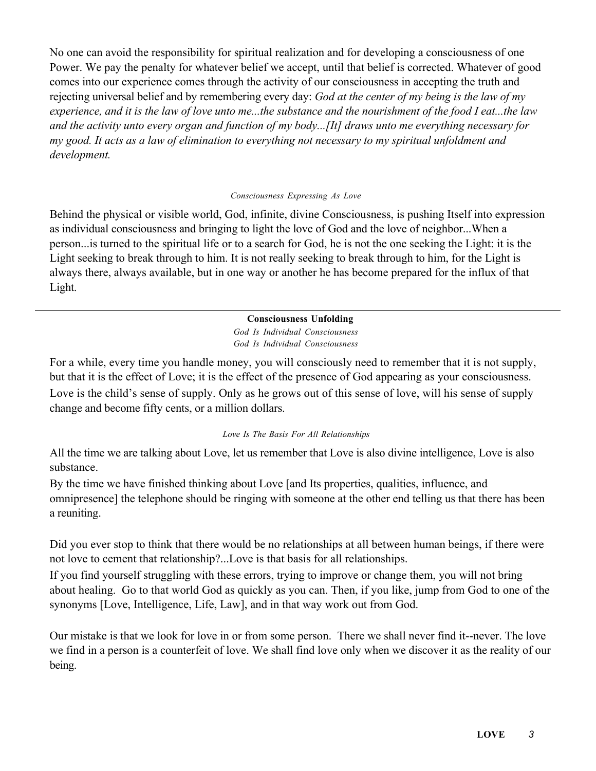No one can avoid the responsibility for spiritual realization and for developing a consciousness of one Power. We pay the penalty for whatever belief we accept, until that belief is corrected. Whatever of good comes into our experience comes through the activity of our consciousness in accepting the truth and rejecting universal belief and by remembering every day: *God at the center of my being is the law of my experience, and it is the law of love unto me...the substance and the nourishment of the food I eat...the law and the activity unto every organ and function of my body...[It] draws unto me everything necessary for my good. It acts as a law of elimination to everything not necessary to my spiritual unfoldment and development.*

#### *Consciousness Expressing As Love*

Behind the physical or visible world, God, infinite, divine Consciousness, is pushing Itself into expression as individual consciousness and bringing to light the love of God and the love of neighbor...When a person...is turned to the spiritual life or to a search for God, he is not the one seeking the Light: it is the Light seeking to break through to him. It is not really seeking to break through to him, for the Light is always there, always available, but in one way or another he has become prepared for the influx of that Light.

# Consciousness Unfolding

*God Is Individual Consciousness God Is Individual Consciousness*

For a while, every time you handle money, you will consciously need to remember that it is not supply, but that it is the effect of Love; it is the effect of the presence of God appearing as your consciousness. Love is the child's sense of supply. Only as he grows out of this sense of love, will his sense of supply change and become fifty cents, or a million dollars.

# *Love Is The Basis For All Relationships*

All the time we are talking about Love, let us remember that Love is also divine intelligence, Love is also substance.

By the time we have finished thinking about Love [and Its properties, qualities, influence, and omnipresence] the telephone should be ringing with someone at the other end telling us that there has been a reuniting.

Did you ever stop to think that there would be no relationships at all between human beings, if there were not love to cement that relationship?...Love is that basis for all relationships.

If you find yourself struggling with these errors, trying to improve or change them, you will not bring about healing. Go to that world God as quickly as you can. Then, if you like, jump from God to one of the synonyms [Love, Intelligence, Life, Law], and in that way work out from God.

Our mistake is that we look for love in or from some person. There we shall never find it--never. The love we find in a person is a counterfeit of love. We shall find love only when we discover it as the reality of our being.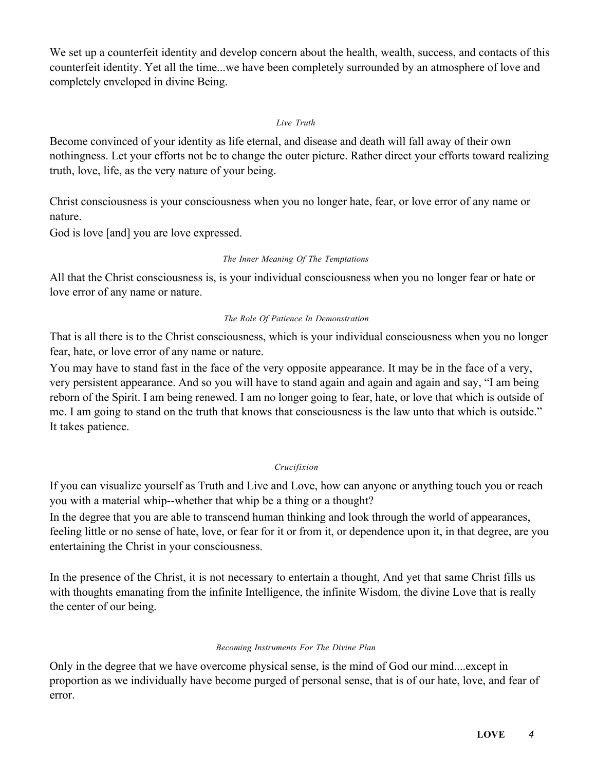We set up a counterfeit identity and develop concern about the health, wealth, success, and contacts of this counterfeit identity. Yet all the time...we have been completely surrounded by an atmosphere of love and completely enveloped in divine Being.

### *Live Truth*

Become convinced of your identity as life eternal, and disease and death will fall away of their own nothingness. Let your efforts not be to change the outer picture. Rather direct your efforts toward realizing truth, love, life, as the very nature of your being.

Christ consciousness is your consciousness when you no longer hate, fear, or love error of any name or nature.

God is love [and] you are love expressed.

### *The Inner Meaning Of The Temptations*

All that the Christ consciousness is, is your individual consciousness when you no longer fear or hate or love error of any name or nature.

### *The Role Of Patience In Demonstration*

That is all there is to the Christ consciousness, which is your individual consciousness when you no longer fear, hate, or love error of any name or nature.

You may have to stand fast in the face of the very opposite appearance. It may be in the face of a very, very persistent appearance. And so you will have to stand again and again and again and say, "I am being reborn of the Spirit. I am being renewed. I am no longer going to fear, hate, or love that which is outside of me. I am going to stand on the truth that knows that consciousness is the law unto that which is outside." It takes patience.

# *Crucifixion*

If you can visualize yourself as Truth and Live and Love, how can anyone or anything touch you or reach you with a material whip--whether that whip be a thing or a thought?

In the degree that you are able to transcend human thinking and look through the world of appearances, feeling little or no sense of hate, love, or fear for it or from it, or dependence upon it, in that degree, are you entertaining the Christ in your consciousness.

In the presence of the Christ, it is not necessary to entertain a thought, And yet that same Christ fills us with thoughts emanating from the infinite Intelligence, the infinite Wisdom, the divine Love that is really the center of our being.

#### *Becoming Instruments For The Divine Plan*

Only in the degree that we have overcome physical sense, is the mind of God our mind....except in proportion as we individually have become purged of personal sense, that is of our hate, love, and fear of error.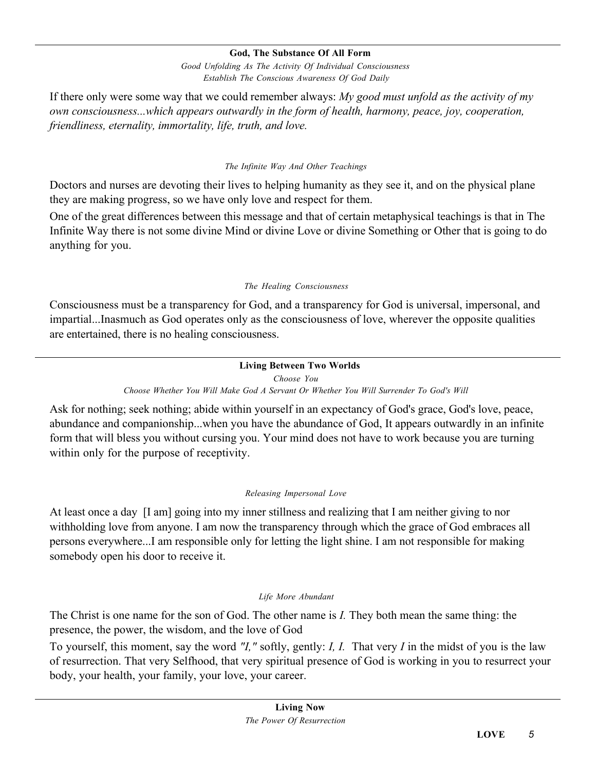### God, The Substance Of All Form

*Good Unfolding As The Activity Of Individual Consciousness Establish The Conscious Awareness Of God Daily*

If there only were some way that we could remember always: *My good must unfold as the activity of my own consciousness...which appears outwardly in the form of health, harmony, peace, joy, cooperation, friendliness, eternality, immortality, life, truth, and love.*

### *The Infinite Way And Other Teachings*

Doctors and nurses are devoting their lives to helping humanity as they see it, and on the physical plane they are making progress, so we have only love and respect for them.

One of the great differences between this message and that of certain metaphysical teachings is that in The Infinite Way there is not some divine Mind or divine Love or divine Something or Other that is going to do anything for you.

### *The Healing Consciousness*

Consciousness must be a transparency for God, and a transparency for God is universal, impersonal, and impartial...Inasmuch as God operates only as the consciousness of love, wherever the opposite qualities are entertained, there is no healing consciousness.

# Living Between Two Worlds

*Choose You*

*Choose Whether You Will Make God A Servant Or Whether You Will Surrender To God's Will*

Ask for nothing; seek nothing; abide within yourself in an expectancy of God's grace, God's love, peace, abundance and companionship...when you have the abundance of God, It appears outwardly in an infinite form that will bless you without cursing you. Your mind does not have to work because you are turning within only for the purpose of receptivity.

# *Releasing Impersonal Love*

At least once a day [I am] going into my inner stillness and realizing that I am neither giving to nor withholding love from anyone. I am now the transparency through which the grace of God embraces all persons everywhere...I am responsible only for letting the light shine. I am not responsible for making somebody open his door to receive it.

#### *Life More Abundant*

The Christ is one name for the son of God. The other name is *I.* They both mean the same thing: the presence, the power, the wisdom, and the love of God

To yourself, this moment, say the word *"I,"* softly, gently: *I, I.* That very *I* in the midst of you is the law of resurrection. That very Selfhood, that very spiritual presence of God is working in you to resurrect your body, your health, your family, your love, your career.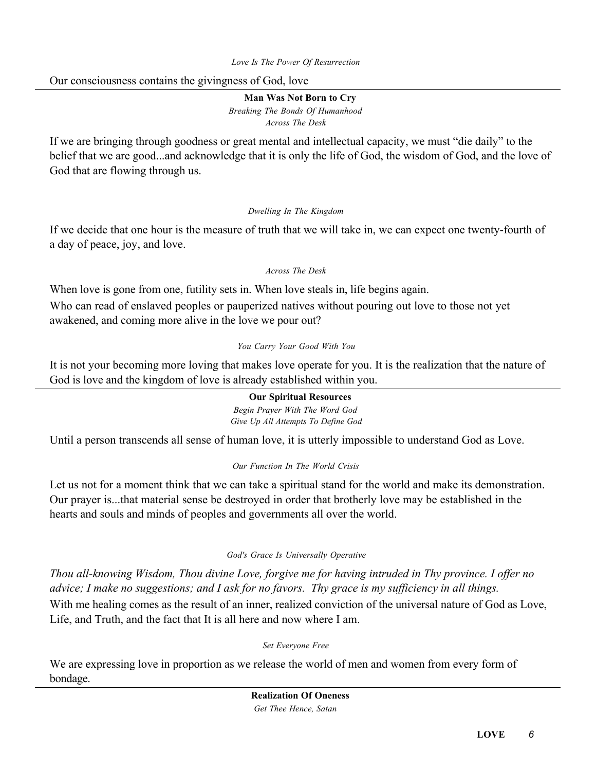# Our consciousness contains the givingness of God, love

Man Was Not Born to Cry *Breaking The Bonds Of Humanhood Across The Desk*

If we are bringing through goodness or great mental and intellectual capacity, we must "die daily" to the belief that we are good...and acknowledge that it is only the life of God, the wisdom of God, and the love of God that are flowing through us.

# *Dwelling In The Kingdom*

If we decide that one hour is the measure of truth that we will take in, we can expect one twenty-fourth of a day of peace, joy, and love.

# *Across The Desk*

When love is gone from one, futility sets in. When love steals in, life begins again. Who can read of enslaved peoples or pauperized natives without pouring out love to those not yet awakened, and coming more alive in the love we pour out?

### *You Carry Your Good With You*

It is not your becoming more loving that makes love operate for you. It is the realization that the nature of God is love and the kingdom of love is already established within you.

# Our Spiritual Resources

*Begin Prayer With The Word God Give Up All Attempts To Define God*

Until a person transcends all sense of human love, it is utterly impossible to understand God as Love.

# *Our Function In The World Crisis*

Let us not for a moment think that we can take a spiritual stand for the world and make its demonstration. Our prayer is...that material sense be destroyed in order that brotherly love may be established in the hearts and souls and minds of peoples and governments all over the world.

# *God's Grace Is Universally Operative*

*Thou all-knowing Wisdom, Thou divine Love, forgive me for having intruded in Thy province. I offer no advice; I make no suggestions; and I ask for no favors. Thy grace is my sufficiency in all things.* With me healing comes as the result of an inner, realized conviction of the universal nature of God as Love,

*Set Everyone Free*

We are expressing love in proportion as we release the world of men and women from every form of bondage.

Life, and Truth, and the fact that It is all here and now where I am.

Realization Of Oneness *Get Thee Hence, Satan*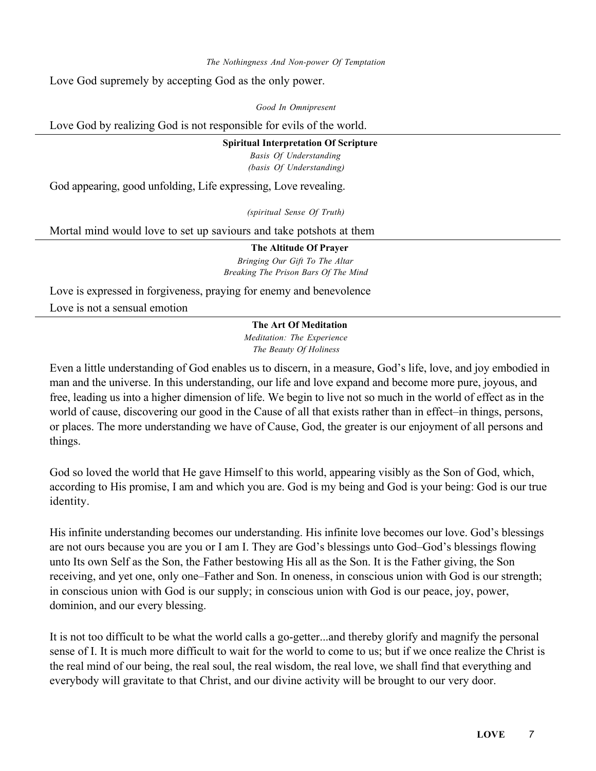*The Nothingness And Non-power Of Temptation*

Love God supremely by accepting God as the only power.

*Good In Omnipresent*

Love God by realizing God is not responsible for evils of the world.

#### Spiritual Interpretation Of Scripture

*Basis Of Understanding (basis Of Understanding)*

God appearing, good unfolding, Life expressing, Love revealing.

*(spiritual Sense Of Truth)*

Mortal mind would love to set up saviours and take potshots at them

The Altitude Of Prayer *Bringing Our Gift To The Altar*

*Breaking The Prison Bars Of The Mind*

Love is expressed in forgiveness, praying for enemy and benevolence Love is not a sensual emotion

### The Art Of Meditation

*Meditation: The Experience The Beauty Of Holiness*

Even a little understanding of God enables us to discern, in a measure, God's life, love, and joy embodied in man and the universe. In this understanding, our life and love expand and become more pure, joyous, and free, leading us into a higher dimension of life. We begin to live not so much in the world of effect as in the world of cause, discovering our good in the Cause of all that exists rather than in effect–in things, persons, or places. The more understanding we have of Cause, God, the greater is our enjoyment of all persons and things.

God so loved the world that He gave Himself to this world, appearing visibly as the Son of God, which, according to His promise, I am and which you are. God is my being and God is your being: God is our true identity.

His infinite understanding becomes our understanding. His infinite love becomes our love. God's blessings are not ours because you are you or I am I. They are God's blessings unto God–God's blessings flowing unto Its own Self as the Son, the Father bestowing His all as the Son. It is the Father giving, the Son receiving, and yet one, only one–Father and Son. In oneness, in conscious union with God is our strength; in conscious union with God is our supply; in conscious union with God is our peace, joy, power, dominion, and our every blessing.

It is not too difficult to be what the world calls a go-getter...and thereby glorify and magnify the personal sense of I. It is much more difficult to wait for the world to come to us; but if we once realize the Christ is the real mind of our being, the real soul, the real wisdom, the real love, we shall find that everything and everybody will gravitate to that Christ, and our divine activity will be brought to our very door.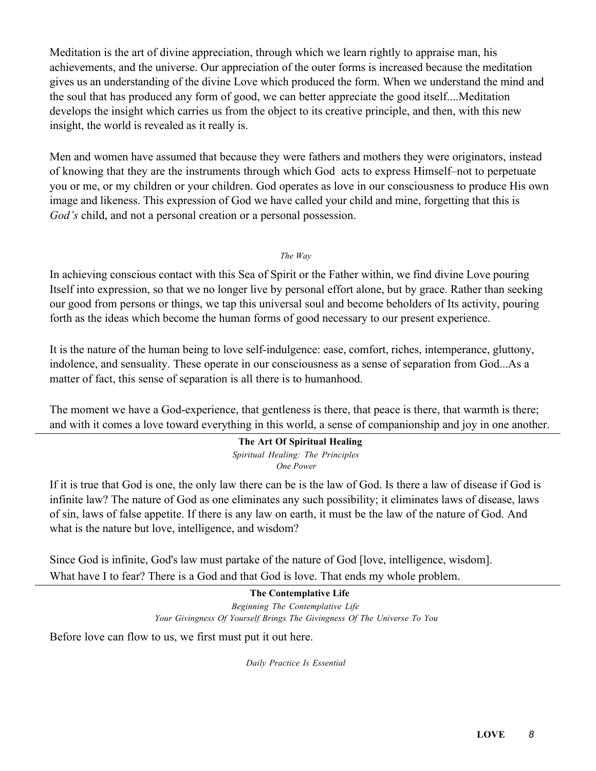Meditation is the art of divine appreciation, through which we learn rightly to appraise man, his achievements, and the universe. Our appreciation of the outer forms is increased because the meditation gives us an understanding of the divine Love which produced the form. When we understand the mind and the soul that has produced any form of good, we can better appreciate the good itself....Meditation develops the insight which carries us from the object to its creative principle, and then, with this new insight, the world is revealed as it really is.

Men and women have assumed that because they were fathers and mothers they were originators, instead of knowing that they are the instruments through which God acts to express Himself–not to perpetuate you or me, or my children or your children. God operates as love in our consciousness to produce His own image and likeness. This expression of God we have called your child and mine, forgetting that this is *God's* child, and not a personal creation or a personal possession.

*The Way*

In achieving conscious contact with this Sea of Spirit or the Father within, we find divine Love pouring Itself into expression, so that we no longer live by personal effort alone, but by grace. Rather than seeking our good from persons or things, we tap this universal soul and become beholders of Its activity, pouring forth as the ideas which become the human forms of good necessary to our present experience.

It is the nature of the human being to love self-indulgence: ease, comfort, riches, intemperance, gluttony, indolence, and sensuality. These operate in our consciousness as a sense of separation from God...As a matter of fact, this sense of separation is all there is to humanhood.

The moment we have a God-experience, that gentleness is there, that peace is there, that warmth is there; and with it comes a love toward everything in this world, a sense of companionship and joy in one another.

# The Art Of Spiritual Healing

*Spiritual Healing: The Principles One Power*

If it is true that God is one, the only law there can be is the law of God. Is there a law of disease if God is infinite law? The nature of God as one eliminates any such possibility; it eliminates laws of disease, laws of sin, laws of false appetite. If there is any law on earth, it must be the law of the nature of God. And what is the nature but love, intelligence, and wisdom?

Since God is infinite, God's law must partake of the nature of God [love, intelligence, wisdom]. What have I to fear? There is a God and that God is love. That ends my whole problem.

> The Contemplative Life *Beginning The Contemplative Life Your Givingness Of Yourself Brings The Givingness Of The Universe To You*

Before love can flow to us, we first must put it out here.

*Daily Practice Is Essential*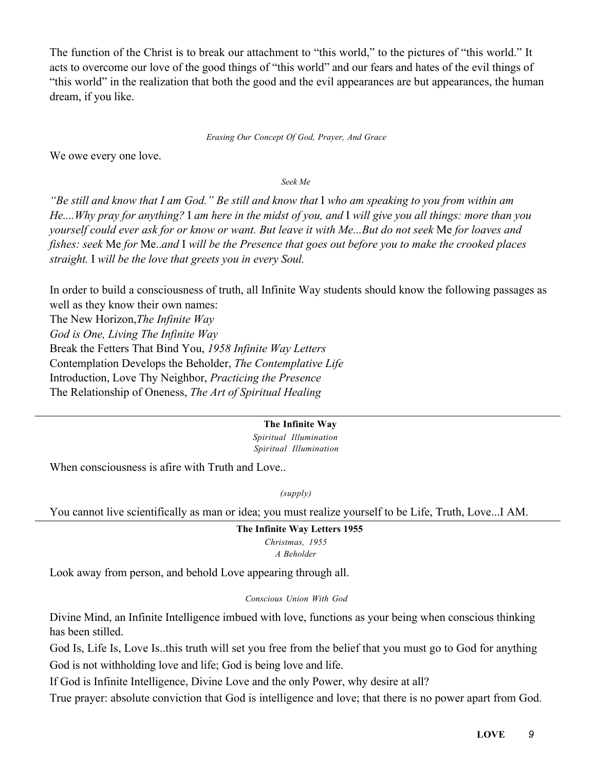The function of the Christ is to break our attachment to "this world," to the pictures of "this world." It acts to overcome our love of the good things of "this world" and our fears and hates of the evil things of "this world" in the realization that both the good and the evil appearances are but appearances, the human dream, if you like.

*Erasing Our Concept Of God, Prayer, And Grace*

We owe every one love.

*Seek Me*

*"Be still and know that I am God." Be still and know that* I *who am speaking to you from within am He....Why pray for anything?* I *am here in the midst of you, and* I *will give you all things: more than you yourself could ever ask for or know or want. But leave it with Me...But do not seek* Me *for loaves and fishes: seek* Me *for* Me..*and* I *will be the Presence that goes out before you to make the crooked places straight.* I *will be the love that greets you in every Soul.*

In order to build a consciousness of truth, all Infinite Way students should know the following passages as well as they know their own names:

The New Horizon,*The Infinite Way God is One, Living The Infinite Way* Break the Fetters That Bind You, *1958 Infinite Way Letters* Contemplation Develops the Beholder, *The Contemplative Life* Introduction, Love Thy Neighbor, *Practicing the Presence* The Relationship of Oneness, *The Art of Spiritual Healing*

#### The Infinite Way

*Spiritual Illumination Spiritual Illumination*

When consciousness is afire with Truth and Love..

*(supply)*

You cannot live scientifically as man or idea; you must realize yourself to be Life, Truth, Love...I AM.

The Infinite Way Letters 1955 *Christmas, 1955*

*A Beholder*

Look away from person, and behold Love appearing through all.

*Conscious Union With God*

Divine Mind, an Infinite Intelligence imbued with love, functions as your being when conscious thinking has been stilled.

God Is, Life Is, Love Is..this truth will set you free from the belief that you must go to God for anything God is not withholding love and life; God is being love and life.

If God is Infinite Intelligence, Divine Love and the only Power, why desire at all?

True prayer: absolute conviction that God is intelligence and love; that there is no power apart from God.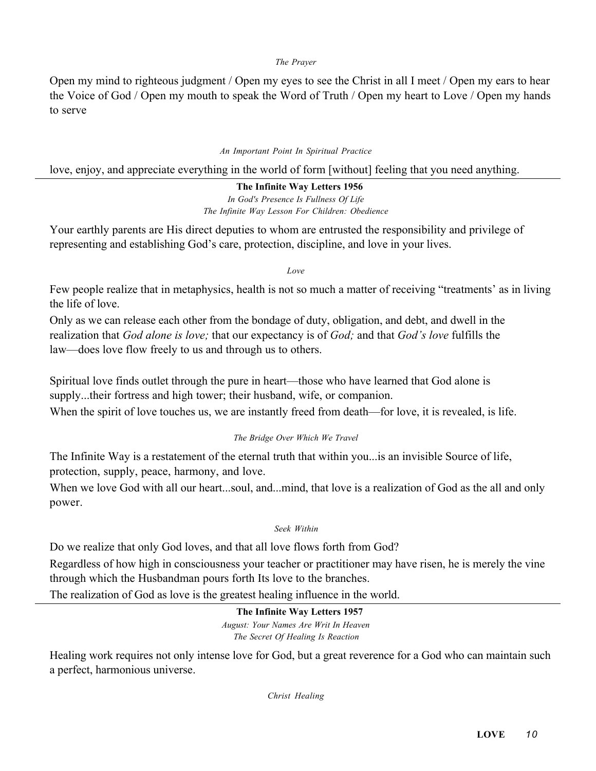#### *The Prayer*

Open my mind to righteous judgment / Open my eyes to see the Christ in all I meet / Open my ears to hear the Voice of God / Open my mouth to speak the Word of Truth / Open my heart to Love / Open my hands to serve

#### *An Important Point In Spiritual Practice*

love, enjoy, and appreciate everything in the world of form [without] feeling that you need anything.

# The Infinite Way Letters 1956

*In God's Presence Is Fullness Of Life The Infinite Way Lesson For Children: Obedience*

Your earthly parents are His direct deputies to whom are entrusted the responsibility and privilege of representing and establishing God's care, protection, discipline, and love in your lives.

*Love*

Few people realize that in metaphysics, health is not so much a matter of receiving "treatments' as in living the life of love.

Only as we can release each other from the bondage of duty, obligation, and debt, and dwell in the realization that *God alone is love;* that our expectancy is of *God;* and that *God's love* fulfills the law—does love flow freely to us and through us to others.

Spiritual love finds outlet through the pure in heart—those who have learned that God alone is supply...their fortress and high tower; their husband, wife, or companion.

When the spirit of love touches us, we are instantly freed from death—for love, it is revealed, is life.

# *The Bridge Over Which We Travel*

The Infinite Way is a restatement of the eternal truth that within you...is an invisible Source of life, protection, supply, peace, harmony, and love.

When we love God with all our heart...soul, and...mind, that love is a realization of God as the all and only power.

*Seek Within*

Do we realize that only God loves, and that all love flows forth from God?

Regardless of how high in consciousness your teacher or practitioner may have risen, he is merely the vine through which the Husbandman pours forth Its love to the branches.

The realization of God as love is the greatest healing influence in the world.

The Infinite Way Letters 1957 *August: Your Names Are Writ In Heaven The Secret Of Healing Is Reaction*

Healing work requires not only intense love for God, but a great reverence for a God who can maintain such a perfect, harmonious universe.

*Christ Healing*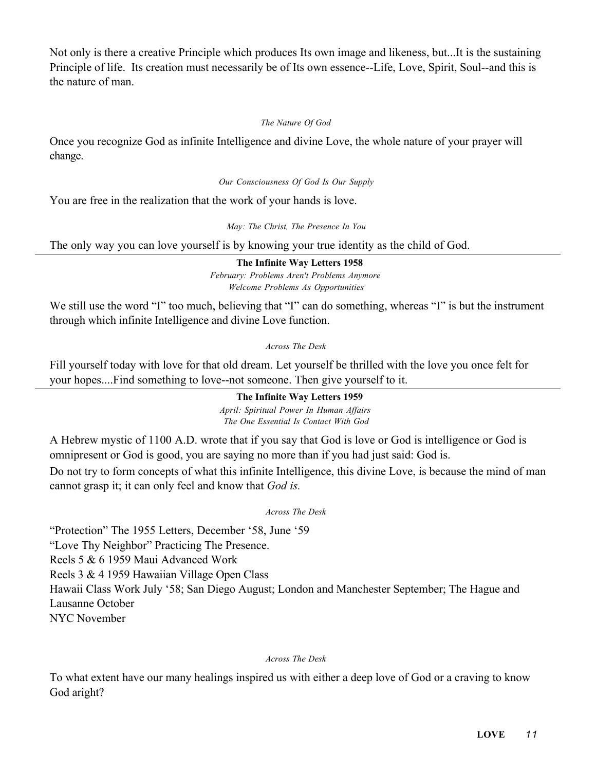Not only is there a creative Principle which produces Its own image and likeness, but...It is the sustaining Principle of life. Its creation must necessarily be of Its own essence--Life, Love, Spirit, Soul--and this is the nature of man.

### *The Nature Of God*

Once you recognize God as infinite Intelligence and divine Love, the whole nature of your prayer will change.

#### *Our Consciousness Of God Is Our Supply*

You are free in the realization that the work of your hands is love.

*May: The Christ, The Presence In You*

The only way you can love yourself is by knowing your true identity as the child of God.

The Infinite Way Letters 1958 *February: Problems Aren't Problems Anymore Welcome Problems As Opportunities*

We still use the word "I" too much, believing that "I" can do something, whereas "I" is but the instrument through which infinite Intelligence and divine Love function.

*Across The Desk*

Fill yourself today with love for that old dream. Let yourself be thrilled with the love you once felt for your hopes....Find something to love--not someone. Then give yourself to it.

# The Infinite Way Letters 1959

*April: Spiritual Power In Human Affairs The One Essential Is Contact With God*

A Hebrew mystic of 1100 A.D. wrote that if you say that God is love or God is intelligence or God is omnipresent or God is good, you are saying no more than if you had just said: God is.

Do not try to form concepts of what this infinite Intelligence, this divine Love, is because the mind of man cannot grasp it; it can only feel and know that *God is.*

*Across The Desk*

"Protection" The 1955 Letters, December '58, June '59 "Love Thy Neighbor" Practicing The Presence. Reels 5 & 6 1959 Maui Advanced Work Reels 3 & 4 1959 Hawaiian Village Open Class Hawaii Class Work July '58; San Diego August; London and Manchester September; The Hague and Lausanne October NYC November

#### *Across The Desk*

To what extent have our many healings inspired us with either a deep love of God or a craving to know God aright?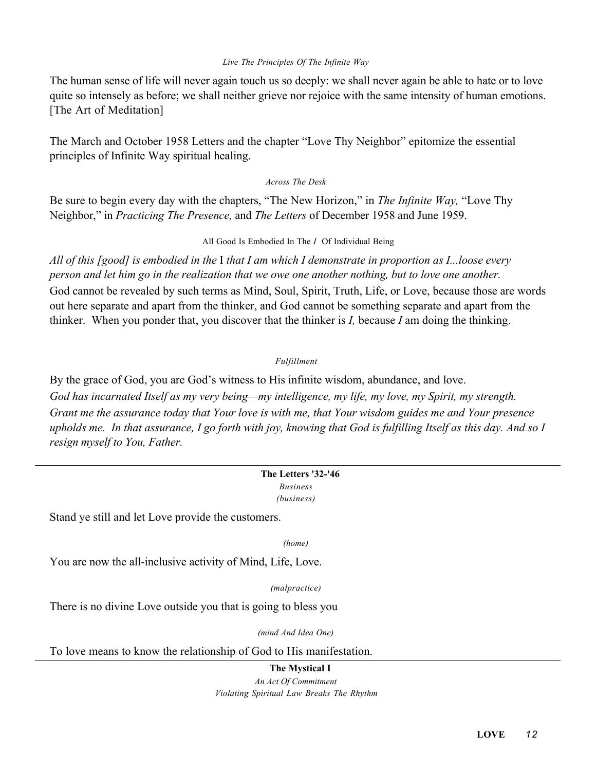#### *Live The Principles Of The Infinite Way*

The human sense of life will never again touch us so deeply: we shall never again be able to hate or to love quite so intensely as before; we shall neither grieve nor rejoice with the same intensity of human emotions. [The Art of Meditation]

The March and October 1958 Letters and the chapter "Love Thy Neighbor" epitomize the essential principles of Infinite Way spiritual healing.

#### *Across The Desk*

Be sure to begin every day with the chapters, "The New Horizon," in *The Infinite Way,* "Love Thy Neighbor," in *Practicing The Presence,* and *The Letters* of December 1958 and June 1959.

#### All Good Is Embodied In The *I* Of Individual Being

*All of this [good] is embodied in the* I *that I am which I demonstrate in proportion as I...loose every person and let him go in the realization that we owe one another nothing, but to love one another.* God cannot be revealed by such terms as Mind, Soul, Spirit, Truth, Life, or Love, because those are words out here separate and apart from the thinker, and God cannot be something separate and apart from the thinker. When you ponder that, you discover that the thinker is *I,* because *I* am doing the thinking.

# *Fulfillment*

By the grace of God, you are God's witness to His infinite wisdom, abundance, and love. *God has incarnated Itself as my very being—my intelligence, my life, my love, my Spirit, my strength. Grant me the assurance today that Your love is with me, that Your wisdom guides me and Your presence upholds me. In that assurance, I go forth with joy, knowing that God is fulfilling Itself as this day. And so I resign myself to You, Father.*

# The Letters '32-'46

*Business*

*(business)*

Stand ye still and let Love provide the customers.

*(home)*

You are now the all-inclusive activity of Mind, Life, Love.

*(malpractice)*

There is no divine Love outside you that is going to bless you

*(mind And Idea One)*

To love means to know the relationship of God to His manifestation.

The Mystical I

*An Act Of Commitment Violating Spiritual Law Breaks The Rhythm*